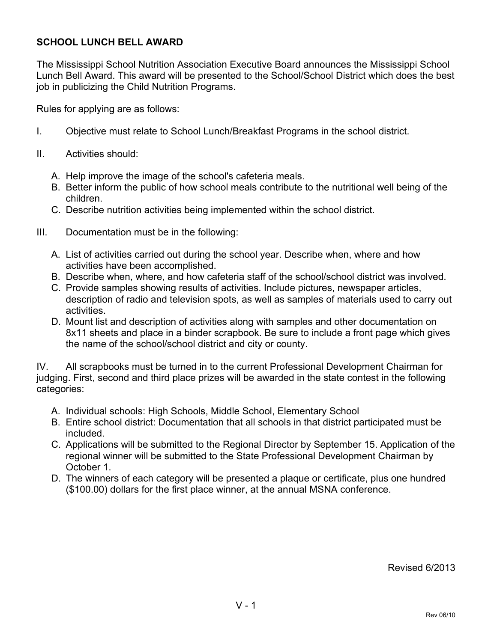## **SCHOOL LUNCH BELL AWARD**

The Mississippi School Nutrition Association Executive Board announces the Mississippi School Lunch Bell Award. This award will be presented to the School/School District which does the best job in publicizing the Child Nutrition Programs.

Rules for applying are as follows:

- I. Objective must relate to School Lunch/Breakfast Programs in the school district.
- II. Activities should:
	- A. Help improve the image of the school's cafeteria meals.
	- B. Better inform the public of how school meals contribute to the nutritional well being of the children.
	- C. Describe nutrition activities being implemented within the school district.
- III. Documentation must be in the following:
	- A. List of activities carried out during the school year. Describe when, where and how activities have been accomplished.
	- B. Describe when, where, and how cafeteria staff of the school/school district was involved.
	- C. Provide samples showing results of activities. Include pictures, newspaper articles, description of radio and television spots, as well as samples of materials used to carry out activities.
	- D. Mount list and description of activities along with samples and other documentation on 8x11 sheets and place in a binder scrapbook. Be sure to include a front page which gives the name of the school/school district and city or county.

IV. All scrapbooks must be turned in to the current Professional Development Chairman for judging. First, second and third place prizes will be awarded in the state contest in the following categories:

- A. Individual schools: High Schools, Middle School, Elementary School
- B. Entire school district: Documentation that all schools in that district participated must be included.
- C. Applications will be submitted to the Regional Director by September 15. Application of the regional winner will be submitted to the State Professional Development Chairman by October 1.
- D. The winners of each category will be presented a plaque or certificate, plus one hundred (\$100.00) dollars for the first place winner, at the annual MSNA conference.

Revised 6/2013